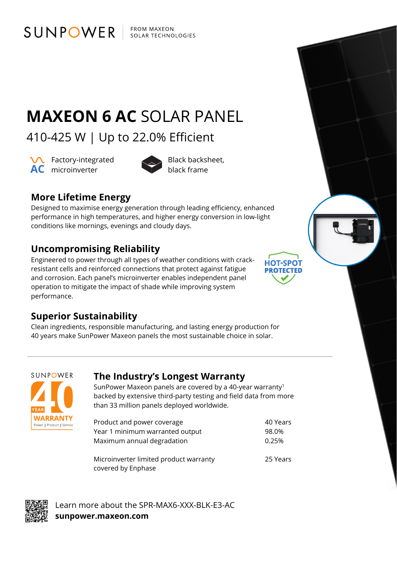**FROM MAXEON** SOLAR TECHNOLOGIES

# **MAXEON 6 AC** SOLAR PANEL

410-425 W | Up to 22.0% Efficient

**VC** Factory-integrated **AC** microinverter **AC** black frame

SUNPOWER



Black backsheet,

**HOT-SPOT PROTECTED** 

## **More Lifetime Energy**

Designed to maximise energy generation through leading efficiency, enhanced performance in high temperatures, and higher energy conversion in low-light conditions like mornings, evenings and cloudy days.

### **Uncompromising Reliability**

Engineered to power through all types of weather conditions with crackresistant cells and reinforced connections that protect against fatigue and corrosion. Each panel's microinverter enables independent panel operation to mitigate the impact of shade while improving system performance.

### **Superior Sustainability**

Clean ingredients, responsible manufacturing, and lasting energy production for 40 years make SunPower Maxeon panels the most sustainable choice in solar.



### **The Industry's Longest Warranty**

SunPower Maxeon panels are covered by a 40-year warranty<sup>1</sup> backed by extensive third-party testing and field data from more than 33 million panels deployed worldwide.

| Product and power coverage                                   | 40 Years |
|--------------------------------------------------------------|----------|
| Year 1 minimum warranted output                              | 98.0%    |
| Maximum annual degradation                                   | 0.25%    |
| Microinverter limited product warranty<br>covered by Enphase | 25 Years |



Learn more about the SPR-MAX6-XXX-BLK-E3-AC **sunpower.maxeon.com**